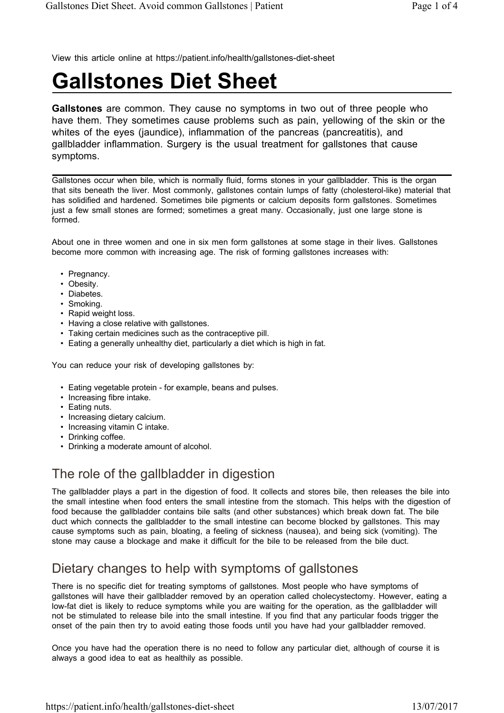View this article online at https://patient.info/health/gallstones-diet-sheet

# **Gallstones Diet Sheet**

**Gallstones** are common. They cause no symptoms in two out of three people who have them. They sometimes cause problems such as pain, yellowing of the skin or the whites of the eyes (jaundice), inflammation of the pancreas (pancreatitis), and gallbladder inflammation. Surgery is the usual treatment for gallstones that cause symptoms.

Gallstones occur when bile, which is normally fluid, forms stones in your gallbladder. This is the organ that sits beneath the liver. Most commonly, gallstones contain lumps of fatty (cholesterol-like) material that has solidified and hardened. Sometimes bile pigments or calcium deposits form gallstones. Sometimes just a few small stones are formed; sometimes a great many. Occasionally, just one large stone is formed.

About one in three women and one in six men form gallstones at some stage in their lives. Gallstones become more common with increasing age. The risk of forming gallstones increases with:

- Pregnancy.
- Obesity.
- Diabetes.
- Smoking.
- Rapid weight loss.
- Having a close relative with gallstones.
- Taking certain medicines such as the contraceptive pill.
- Eating a generally unhealthy diet, particularly a diet which is high in fat.

You can reduce your risk of developing gallstones by:

- Eating vegetable protein for example, beans and pulses.
- Increasing fibre intake.
- Eating nuts.
- Increasing dietary calcium.
- Increasing vitamin C intake.
- Drinking coffee.
- Drinking a moderate amount of alcohol.

### The role of the gallbladder in digestion

The gallbladder plays a part in the digestion of food. It collects and stores bile, then releases the bile into the small intestine when food enters the small intestine from the stomach. This helps with the digestion of food because the gallbladder contains bile salts (and other substances) which break down fat. The bile duct which connects the gallbladder to the small intestine can become blocked by gallstones. This may cause symptoms such as pain, bloating, a feeling of sickness (nausea), and being sick (vomiting). The stone may cause a blockage and make it difficult for the bile to be released from the bile duct.

# Dietary changes to help with symptoms of gallstones

There is no specific diet for treating symptoms of gallstones. Most people who have symptoms of gallstones will have their gallbladder removed by an operation called cholecystectomy. However, eating a low-fat diet is likely to reduce symptoms while you are waiting for the operation, as the gallbladder will not be stimulated to release bile into the small intestine. If you find that any particular foods trigger the onset of the pain then try to avoid eating those foods until you have had your gallbladder removed.

Once you have had the operation there is no need to follow any particular diet, although of course it is always a good idea to eat as healthily as possible.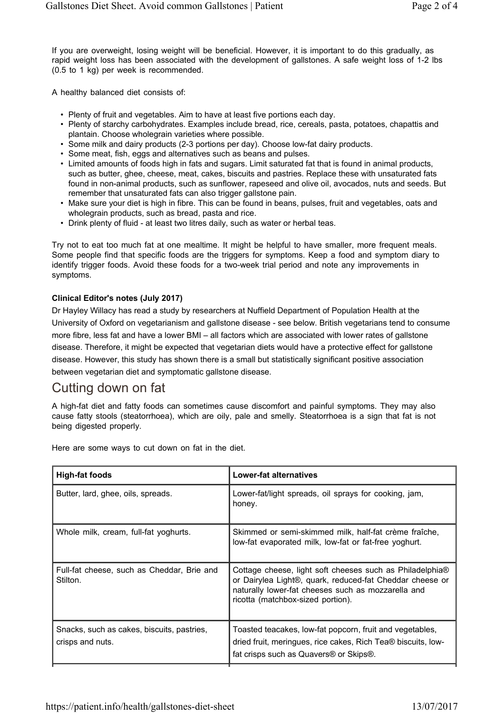If you are overweight, losing weight will be beneficial. However, it is important to do this gradually, as rapid weight loss has been associated with the development of gallstones. A safe weight loss of 1-2 lbs (0.5 to 1 kg) per week is recommended.

A healthy balanced diet consists of:

- Plenty of fruit and vegetables. Aim to have at least five portions each day.
- Plenty of starchy carbohydrates. Examples include bread, rice, cereals, pasta, potatoes, chapattis and plantain. Choose wholegrain varieties where possible.
- Some milk and dairy products (2-3 portions per day). Choose low-fat dairy products.
- Some meat, fish, eggs and alternatives such as beans and pulses.
- Limited amounts of foods high in fats and sugars. Limit saturated fat that is found in animal products, such as butter, ghee, cheese, meat, cakes, biscuits and pastries. Replace these with unsaturated fats found in non-animal products, such as sunflower, rapeseed and olive oil, avocados, nuts and seeds. But remember that unsaturated fats can also trigger gallstone pain.
- Make sure your diet is high in fibre. This can be found in beans, pulses, fruit and vegetables, oats and wholegrain products, such as bread, pasta and rice.
- Drink plenty of fluid at least two litres daily, such as water or herbal teas.

Try not to eat too much fat at one mealtime. It might be helpful to have smaller, more frequent meals. Some people find that specific foods are the triggers for symptoms. Keep a food and symptom diary to identify trigger foods. Avoid these foods for a two-week trial period and note any improvements in symptoms.

#### **Clinical Editor's notes (July 2017)**

Dr Hayley Willacy has read a study by researchers at Nuffield Department of Population Health at the University of Oxford on vegetarianism and gallstone disease - see below. British vegetarians tend to consume more fibre, less fat and have a lower BMI – all factors which are associated with lower rates of gallstone disease. Therefore, it might be expected that vegetarian diets would have a protective effect for gallstone disease. However, this study has shown there is a small but statistically significant positive association between vegetarian diet and symptomatic gallstone disease.

### Cutting down on fat

A high-fat diet and fatty foods can sometimes cause discomfort and painful symptoms. They may also cause fatty stools (steatorrhoea), which are oily, pale and smelly. Steatorrhoea is a sign that fat is not being digested properly.

| High-fat foods                                                 | Lower-fat alternatives                                                                                                                                                                                          |
|----------------------------------------------------------------|-----------------------------------------------------------------------------------------------------------------------------------------------------------------------------------------------------------------|
| Butter, lard, ghee, oils, spreads.                             | Lower-fat/light spreads, oil sprays for cooking, jam,<br>honey.                                                                                                                                                 |
| Whole milk, cream, full-fat yoghurts.                          | Skimmed or semi-skimmed milk, half-fat crème fraîche,<br>low-fat evaporated milk, low-fat or fat-free yoghurt.                                                                                                  |
| Full-fat cheese, such as Cheddar, Brie and<br>Stilton.         | Cottage cheese, light soft cheeses such as Philadelphia®<br>or Dairylea Light®, quark, reduced-fat Cheddar cheese or<br>naturally lower-fat cheeses such as mozzarella and<br>ricotta (matchbox-sized portion). |
| Snacks, such as cakes, biscuits, pastries,<br>crisps and nuts. | Toasted teacakes, low-fat popcorn, fruit and vegetables,<br>dried fruit, meringues, rice cakes, Rich Tea® biscuits, low-<br>fat crisps such as Quavers® or Skips®.                                              |

Here are some ways to cut down on fat in the diet.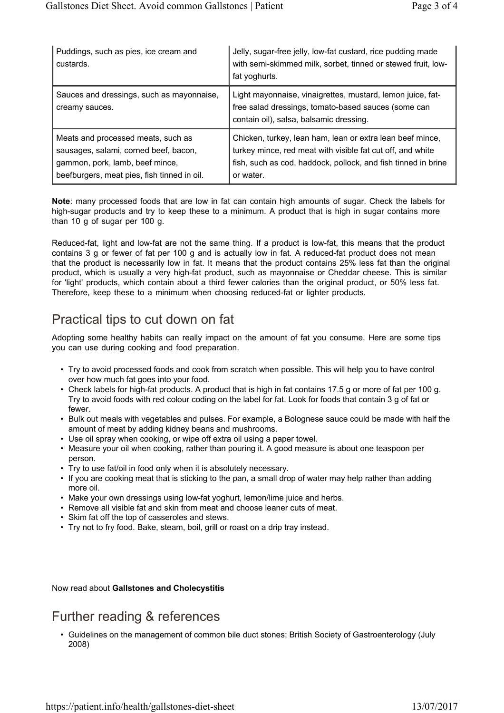| Puddings, such as pies, ice cream and<br>custards.                                                                                                            | Jelly, sugar-free jelly, low-fat custard, rice pudding made<br>with semi-skimmed milk, sorbet, tinned or stewed fruit, low-<br>fat yoghurts.                                                          |
|---------------------------------------------------------------------------------------------------------------------------------------------------------------|-------------------------------------------------------------------------------------------------------------------------------------------------------------------------------------------------------|
| Sauces and dressings, such as mayonnaise,<br>creamy sauces.                                                                                                   | Light mayonnaise, vinaigrettes, mustard, lemon juice, fat-<br>free salad dressings, tomato-based sauces (some can<br>contain oil), salsa, balsamic dressing.                                          |
| Meats and processed meats, such as<br>sausages, salami, corned beef, bacon,<br>gammon, pork, lamb, beef mince,<br>beefburgers, meat pies, fish tinned in oil. | Chicken, turkey, lean ham, lean or extra lean beef mince,<br>turkey mince, red meat with visible fat cut off, and white<br>fish, such as cod, haddock, pollock, and fish tinned in brine<br>or water. |

**Note**: many processed foods that are low in fat can contain high amounts of sugar. Check the labels for high-sugar products and try to keep these to a minimum. A product that is high in sugar contains more than 10 g of sugar per 100 g.

Reduced-fat, light and low-fat are not the same thing. If a product is low-fat, this means that the product contains 3 g or fewer of fat per 100 g and is actually low in fat. A reduced-fat product does not mean that the product is necessarily low in fat. It means that the product contains 25% less fat than the original product, which is usually a very high-fat product, such as mayonnaise or Cheddar cheese. This is similar for 'light' products, which contain about a third fewer calories than the original product, or 50% less fat. Therefore, keep these to a minimum when choosing reduced-fat or lighter products.

# Practical tips to cut down on fat

Adopting some healthy habits can really impact on the amount of fat you consume. Here are some tips you can use during cooking and food preparation.

- Try to avoid processed foods and cook from scratch when possible. This will help you to have control over how much fat goes into your food.
- Check labels for high-fat products. A product that is high in fat contains 17.5 g or more of fat per 100 g. Try to avoid foods with red colour coding on the label for fat. Look for foods that contain 3 g of fat or fewer.
- Bulk out meals with vegetables and pulses. For example, a Bolognese sauce could be made with half the amount of meat by adding kidney beans and mushrooms.
- Use oil spray when cooking, or wipe off extra oil using a paper towel.
- Measure your oil when cooking, rather than pouring it. A good measure is about one teaspoon per person.
- Try to use fat/oil in food only when it is absolutely necessary.
- If you are cooking meat that is sticking to the pan, a small drop of water may help rather than adding more oil.
- Make your own dressings using low-fat yoghurt, lemon/lime juice and herbs.
- Remove all visible fat and skin from meat and choose leaner cuts of meat.
- Skim fat off the top of casseroles and stews.
- Try not to fry food. Bake, steam, boil, grill or roast on a drip tray instead.

Now read about **Gallstones and Cholecystitis**

### Further reading & references

• Guidelines on the management of common bile duct stones; British Society of Gastroenterology (July 2008)